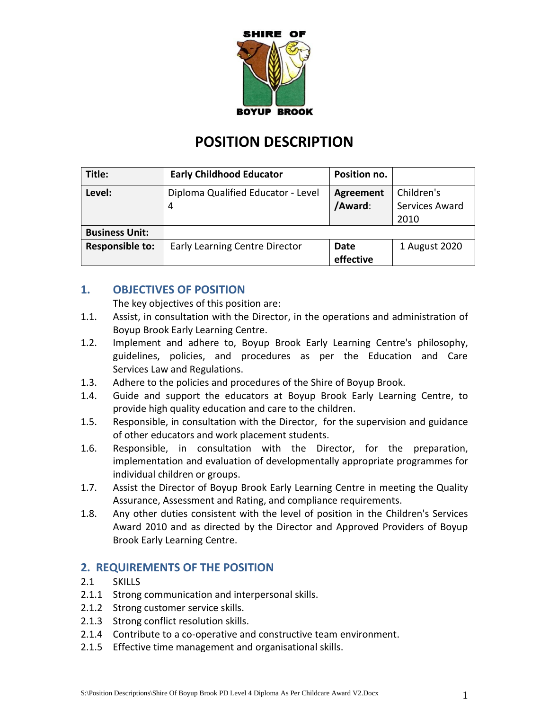

# **POSITION DESCRIPTION**

| Title:                 | <b>Early Childhood Educator</b>         | Position no.                |                                      |
|------------------------|-----------------------------------------|-----------------------------|--------------------------------------|
| Level:                 | Diploma Qualified Educator - Level<br>4 | <b>Agreement</b><br>/Award: | Children's<br>Services Award<br>2010 |
| <b>Business Unit:</b>  |                                         |                             |                                      |
| <b>Responsible to:</b> | <b>Early Learning Centre Director</b>   | Date<br>effective           | 1 August 2020                        |

## **1. OBJECTIVES OF POSITION**

The key objectives of this position are:

- 1.1. Assist, in consultation with the Director, in the operations and administration of Boyup Brook Early Learning Centre.
- 1.2. Implement and adhere to, Boyup Brook Early Learning Centre's philosophy, guidelines, policies, and procedures as per the Education and Care Services Law and Regulations.
- 1.3. Adhere to the policies and procedures of the Shire of Boyup Brook.
- 1.4. Guide and support the educators at Boyup Brook Early Learning Centre, to provide high quality education and care to the children.
- 1.5. Responsible, in consultation with the Director, for the supervision and guidance of other educators and work placement students.
- 1.6. Responsible, in consultation with the Director, for the preparation, implementation and evaluation of developmentally appropriate programmes for individual children or groups.
- 1.7. Assist the Director of Boyup Brook Early Learning Centre in meeting the Quality Assurance, Assessment and Rating, and compliance requirements.
- 1.8. Any other duties consistent with the level of position in the Children's Services Award 2010 and as directed by the Director and Approved Providers of Boyup Brook Early Learning Centre.

### **2. REQUIREMENTS OF THE POSITION**

- 2.1 SKILLS
- 2.1.1 Strong communication and interpersonal skills.
- 2.1.2 Strong customer service skills.
- 2.1.3 Strong conflict resolution skills.
- 2.1.4 Contribute to a co-operative and constructive team environment.
- 2.1.5 Effective time management and organisational skills.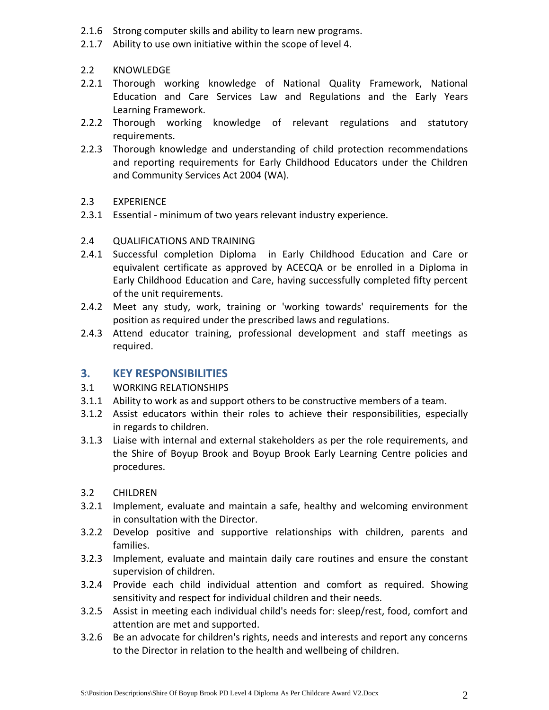- 2.1.6 Strong computer skills and ability to learn new programs.
- 2.1.7 Ability to use own initiative within the scope of level 4.
- 2.2 KNOWLEDGE
- 2.2.1 Thorough working knowledge of National Quality Framework, National Education and Care Services Law and Regulations and the Early Years Learning Framework.
- 2.2.2 Thorough working knowledge of relevant regulations and statutory requirements.
- 2.2.3 Thorough knowledge and understanding of child protection recommendations and reporting requirements for Early Childhood Educators under the Children and Community Services Act 2004 (WA).
- 2.3 EXPERIENCE
- 2.3.1 Essential minimum of two years relevant industry experience.
- 2.4 QUALIFICATIONS AND TRAINING
- 2.4.1 Successful completion Diploma in Early Childhood Education and Care or equivalent certificate as approved by ACECQA or be enrolled in a Diploma in Early Childhood Education and Care, having successfully completed fifty percent of the unit requirements.
- 2.4.2 Meet any study, work, training or 'working towards' requirements for the position as required under the prescribed laws and regulations.
- 2.4.3 Attend educator training, professional development and staff meetings as required.

#### **3. KEY RESPONSIBILITIES**

- 3.1 WORKING RELATIONSHIPS
- 3.1.1 Ability to work as and support others to be constructive members of a team.
- 3.1.2 Assist educators within their roles to achieve their responsibilities, especially in regards to children.
- 3.1.3 Liaise with internal and external stakeholders as per the role requirements, and the Shire of Boyup Brook and Boyup Brook Early Learning Centre policies and procedures.
- 3.2 CHILDREN
- 3.2.1 Implement, evaluate and maintain a safe, healthy and welcoming environment in consultation with the Director.
- 3.2.2 Develop positive and supportive relationships with children, parents and families.
- 3.2.3 Implement, evaluate and maintain daily care routines and ensure the constant supervision of children.
- 3.2.4 Provide each child individual attention and comfort as required. Showing sensitivity and respect for individual children and their needs.
- 3.2.5 Assist in meeting each individual child's needs for: sleep/rest, food, comfort and attention are met and supported.
- 3.2.6 Be an advocate for children's rights, needs and interests and report any concerns to the Director in relation to the health and wellbeing of children.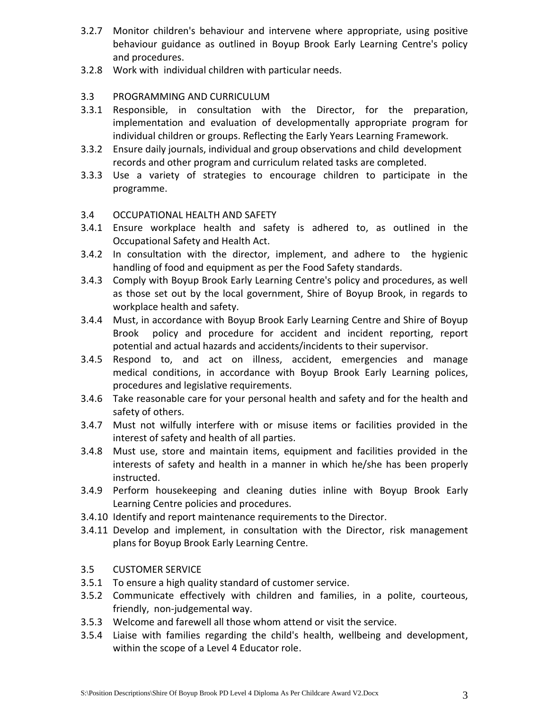- 3.2.7 Monitor children's behaviour and intervene where appropriate, using positive behaviour guidance as outlined in Boyup Brook Early Learning Centre's policy and procedures.
- 3.2.8 Work with individual children with particular needs.

#### 3.3 PROGRAMMING AND CURRICULUM

- 3.3.1 Responsible, in consultation with the Director, for the preparation, implementation and evaluation of developmentally appropriate program for individual children or groups. Reflecting the Early Years Learning Framework.
- 3.3.2 Ensure daily journals, individual and group observations and child development records and other program and curriculum related tasks are completed.
- 3.3.3 Use a variety of strategies to encourage children to participate in the programme.

#### 3.4 OCCUPATIONAL HEALTH AND SAFETY

- 3.4.1 Ensure workplace health and safety is adhered to, as outlined in the Occupational Safety and Health Act.
- 3.4.2 In consultation with the director, implement, and adhere to the hygienic handling of food and equipment as per the Food Safety standards.
- 3.4.3 Comply with Boyup Brook Early Learning Centre's policy and procedures, as well as those set out by the local government, Shire of Boyup Brook, in regards to workplace health and safety.
- 3.4.4 Must, in accordance with Boyup Brook Early Learning Centre and Shire of Boyup Brook policy and procedure for accident and incident reporting, report potential and actual hazards and accidents/incidents to their supervisor.
- 3.4.5 Respond to, and act on illness, accident, emergencies and manage medical conditions, in accordance with Boyup Brook Early Learning polices, procedures and legislative requirements.
- 3.4.6 Take reasonable care for your personal health and safety and for the health and safety of others.
- 3.4.7 Must not wilfully interfere with or misuse items or facilities provided in the interest of safety and health of all parties.
- 3.4.8 Must use, store and maintain items, equipment and facilities provided in the interests of safety and health in a manner in which he/she has been properly instructed.
- 3.4.9 Perform housekeeping and cleaning duties inline with Boyup Brook Early Learning Centre policies and procedures.
- 3.4.10 Identify and report maintenance requirements to the Director.
- 3.4.11 Develop and implement, in consultation with the Director, risk management plans for Boyup Brook Early Learning Centre.

### 3.5 CUSTOMER SERVICE

- 3.5.1 To ensure a high quality standard of customer service.
- 3.5.2 Communicate effectively with children and families, in a polite, courteous, friendly, non-judgemental way.
- 3.5.3 Welcome and farewell all those whom attend or visit the service.
- 3.5.4 Liaise with families regarding the child's health, wellbeing and development, within the scope of a Level 4 Educator role.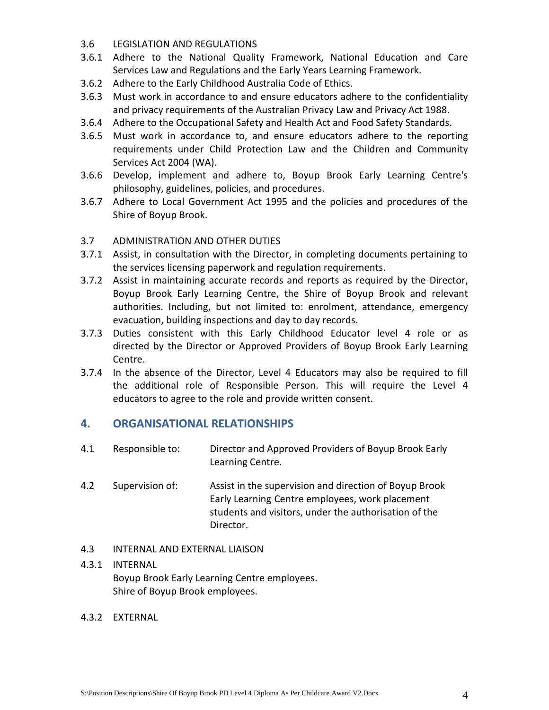#### 3.6 LEGISLATION AND REGULATIONS

- 3.6.1 Adhere to the National Quality Framework, National Education and Care Services Law and Regulations and the Early Years Learning Framework.
- 3.6.2 Adhere to the Early Childhood Australia Code of Ethics.
- 3.6.3 Must work in accordance to and ensure educators adhere to the confidentiality and privacy requirements of the Australian Privacy Law and Privacy Act 1988.
- 3.6.4 Adhere to the Occupational Safety and Health Act and Food Safety Standards.
- 3.6.5 Must work in accordance to, and ensure educators adhere to the reporting requirements under Child Protection Law and the Children and Community Services Act 2004 (WA).
- 3.6.6 Develop, implement and adhere to, Boyup Brook Early Learning Centre's philosophy, guidelines, policies, and procedures.
- 3.6.7 Adhere to Local Government Act 1995 and the policies and procedures of the Shire of Boyup Brook.

### 3.7 ADMINISTRATION AND OTHER DUTIES

- 3.7.1 Assist, in consultation with the Director, in completing documents pertaining to the services licensing paperwork and regulation requirements.
- 3.7.2 Assist in maintaining accurate records and reports as required by the Director, Boyup Brook Early Learning Centre, the Shire of Boyup Brook and relevant authorities. Including, but not limited to: enrolment, attendance, emergency evacuation, building inspections and day to day records.
- 3.7.3 Duties consistent with this Early Childhood Educator level 4 role or as directed by the Director or Approved Providers of Boyup Brook Early Learning Centre.
- 3.7.4 In the absence of the Director, Level 4 Educators may also be required to fill the additional role of Responsible Person. This will require the Level 4 educators to agree to the role and provide written consent.

### **4. ORGANISATIONAL RELATIONSHIPS**

- 4.1 Responsible to: Director and Approved Providers of Boyup Brook Early Learning Centre.
- 4.2 Supervision of: Assist in the supervision and direction of Boyup Brook Early Learning Centre employees, work placement students and visitors, under the authorisation of the Director.

### 4.3 INTERNAL AND EXTERNAL LIAISON

### 4.3.1 INTERNAL Boyup Brook Early Learning Centre employees. Shire of Boyup Brook employees.

### 4.3.2 EXTERNAL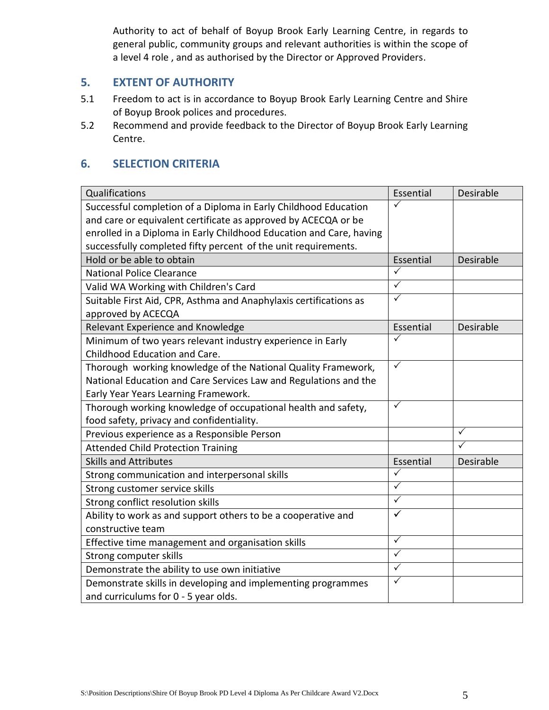Authority to act of behalf of Boyup Brook Early Learning Centre, in regards to general public, community groups and relevant authorities is within the scope of a level 4 role , and as authorised by the Director or Approved Providers.

### **5. EXTENT OF AUTHORITY**

- 5.1 Freedom to act is in accordance to Boyup Brook Early Learning Centre and Shire of Boyup Brook polices and procedures.
- 5.2 Recommend and provide feedback to the Director of Boyup Brook Early Learning Centre.

## **6. SELECTION CRITERIA**

| Qualifications                                                      | Essential               | Desirable    |
|---------------------------------------------------------------------|-------------------------|--------------|
| Successful completion of a Diploma in Early Childhood Education     |                         |              |
| and care or equivalent certificate as approved by ACECQA or be      |                         |              |
| enrolled in a Diploma in Early Childhood Education and Care, having |                         |              |
| successfully completed fifty percent of the unit requirements.      |                         |              |
| Hold or be able to obtain                                           | Essential               | Desirable    |
| <b>National Police Clearance</b>                                    | ✓                       |              |
| Valid WA Working with Children's Card                               | $\checkmark$            |              |
| Suitable First Aid, CPR, Asthma and Anaphylaxis certifications as   | $\checkmark$            |              |
| approved by ACECQA                                                  |                         |              |
| Relevant Experience and Knowledge                                   | Essential               | Desirable    |
| Minimum of two years relevant industry experience in Early          | ✓                       |              |
| Childhood Education and Care.                                       |                         |              |
| Thorough working knowledge of the National Quality Framework,       | $\checkmark$            |              |
| National Education and Care Services Law and Regulations and the    |                         |              |
| Early Year Years Learning Framework.                                |                         |              |
| Thorough working knowledge of occupational health and safety,       | $\checkmark$            |              |
| food safety, privacy and confidentiality.                           |                         |              |
| Previous experience as a Responsible Person                         |                         | $\checkmark$ |
| <b>Attended Child Protection Training</b>                           |                         | ✓            |
| <b>Skills and Attributes</b>                                        | Essential               | Desirable    |
| Strong communication and interpersonal skills                       | ✓                       |              |
| Strong customer service skills                                      | $\overline{\checkmark}$ |              |
| Strong conflict resolution skills                                   | $\checkmark$            |              |
| Ability to work as and support others to be a cooperative and       | $\checkmark$            |              |
| constructive team                                                   |                         |              |
| Effective time management and organisation skills                   | $\sqrt{}$               |              |
| Strong computer skills                                              | $\checkmark$            |              |
| Demonstrate the ability to use own initiative                       | $\sqrt{}$               |              |
| Demonstrate skills in developing and implementing programmes        | $\checkmark$            |              |
| and curriculums for 0 - 5 year olds.                                |                         |              |